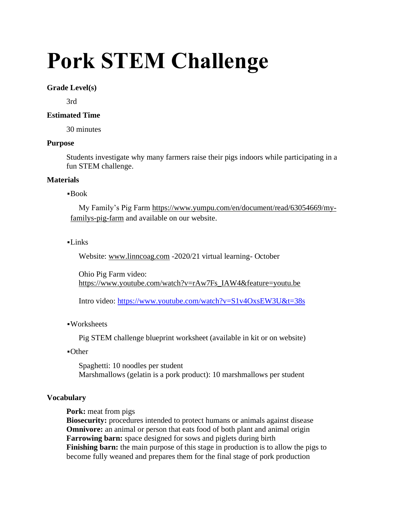# **Pork STEM Challenge**

# **Grade Level(s)**

3rd

# **Estimated Time**

30 minutes

# **Purpose**

Students investigate why many farmers raise their pigs indoors while participating in a fun STEM challenge.

#### **Materials**

#### ▪Book

My Family's Pig Farm [https://www.yumpu.com/en/document/read/63054669/my](https://www.yumpu.com/en/document/read/63054669/my-familys-pig-farm)[familys-pig-farm](https://www.yumpu.com/en/document/read/63054669/my-familys-pig-farm) and available on our website.

# $-I$  inks

Website: [www.linncoag.com](http://www.linncoag.com/) -2020/21 virtual learning- October

Ohio Pig Farm video: [https://www.youtube.com/watch?v=rAw7Fs\\_IAW4&feature=youtu.be](https://www.youtube.com/watch?v=rAw7Fs_IAW4&feature=youtu.be)

Intro video:<https://www.youtube.com/watch?v=S1v4OxsEW3U&t=38s>

# ▪Worksheets

Pig STEM challenge blueprint worksheet (available in kit or on website)

▪Other

Spaghetti: 10 noodles per student Marshmallows (gelatin is a pork product): 10 marshmallows per student

# **Vocabulary**

**Pork:** meat from pigs

**Biosecurity:** procedures intended to protect humans or animals against disease **Omnivore:** an animal or person that eats food of both plant and animal origin **Farrowing barn:** space designed for sows and piglets during birth **Finishing barn:** the main purpose of this stage in production is to allow the pigs to become fully weaned and prepares them for the final stage of pork production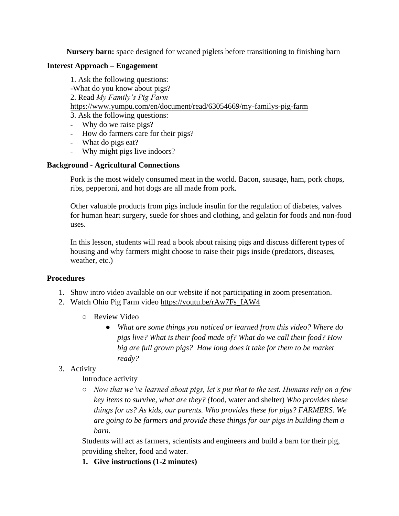**Nursery barn:** space designed for weaned piglets before transitioning to finishing barn

# **Interest Approach – Engagement**

1. Ask the following questions: -What do you know about pigs? 2. Read *My Family's Pig Farm* <https://www.yumpu.com/en/document/read/63054669/my-familys-pig-farm> 3. Ask the following questions:

- Why do we raise pigs?
- How do farmers care for their pigs?
- What do pigs eat?
- Why might pigs live indoors?

# **Background - Agricultural Connections**

Pork is the most widely consumed meat in the world. Bacon, sausage, ham, pork chops, ribs, pepperoni, and hot dogs are all made from pork.

Other valuable products from pigs include insulin for the regulation of diabetes, valves for human heart surgery, suede for shoes and clothing, and gelatin for foods and non-food uses.

In this lesson, students will read a book about raising pigs and discuss different types of housing and why farmers might choose to raise their pigs inside (predators, diseases, weather, etc.)

# **Procedures**

- 1. Show intro video available on our website if not participating in zoom presentation.
- 2. Watch Ohio Pig Farm video [https://youtu.be/rAw7Fs\\_IAW4](https://youtu.be/rAw7Fs_IAW4)
	- Review Video
		- *What are some things you noticed or learned from this video? Where do pigs live? What is their food made of? What do we call their food? How big are full grown pigs? How long does it take for them to be market ready?*
- 3. Activity

# Introduce activity

○ *Now that we've learned about pigs, let's put that to the test. Humans rely on a few key items to survive, what are they? (*food, water and shelter) *Who provides these things for us? As kids, our parents. Who provides these for pigs? FARMERS. We are going to be farmers and provide these things for our pigs in building them a barn.*

Students will act as farmers, scientists and engineers and build a barn for their pig, providing shelter, food and water.

**1. Give instructions (1-2 minutes)**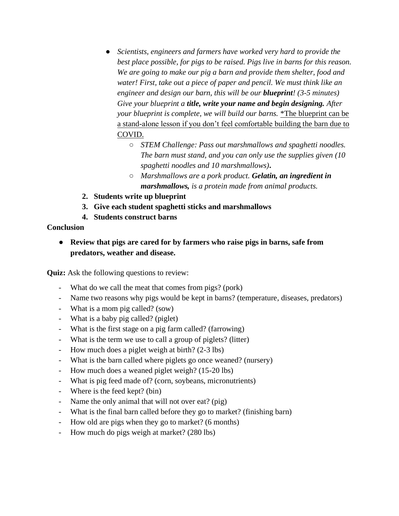- *Scientists, engineers and farmers have worked very hard to provide the best place possible, for pigs to be raised. Pigs live in barns for this reason. We are going to make our pig a barn and provide them shelter, food and water! First, take out a piece of paper and pencil. We must think like an engineer and design our barn, this will be our blueprint! (3-5 minutes) Give your blueprint a title, write your name and begin designing. After your blueprint is complete, we will build our barns.* \*The blueprint can be a stand-alone lesson if you don't feel comfortable building the barn due to COVID.
	- *STEM Challenge: Pass out marshmallows and spaghetti noodles. The barn must stand, and you can only use the supplies given (10 spaghetti noodles and 10 marshmallows)***.**
	- *Marshmallows are a pork product. Gelatin, an ingredient in marshmallows, is a protein made from animal products.*
- **2. Students write up blueprint**
- **3. Give each student spaghetti sticks and marshmallows**
- **4. Students construct barns**

# **Conclusion**

● **Review that pigs are cared for by farmers who raise pigs in barns, safe from predators, weather and disease.**

**Quiz:** Ask the following questions to review:

- What do we call the meat that comes from pigs? (pork)
- Name two reasons why pigs would be kept in barns? (temperature, diseases, predators)
- What is a mom pig called? (sow)
- What is a baby pig called? (piglet)
- What is the first stage on a pig farm called? (farrowing)
- What is the term we use to call a group of piglets? (litter)
- How much does a piglet weigh at birth? (2-3 lbs)
- What is the barn called where piglets go once weaned? (nursery)
- How much does a weaned piglet weigh? (15-20 lbs)
- What is pig feed made of? (corn, soybeans, micronutrients)
- Where is the feed kept? (bin)
- Name the only animal that will not over eat? (pig)
- What is the final barn called before they go to market? (finishing barn)
- How old are pigs when they go to market? (6 months)
- How much do pigs weigh at market? (280 lbs)